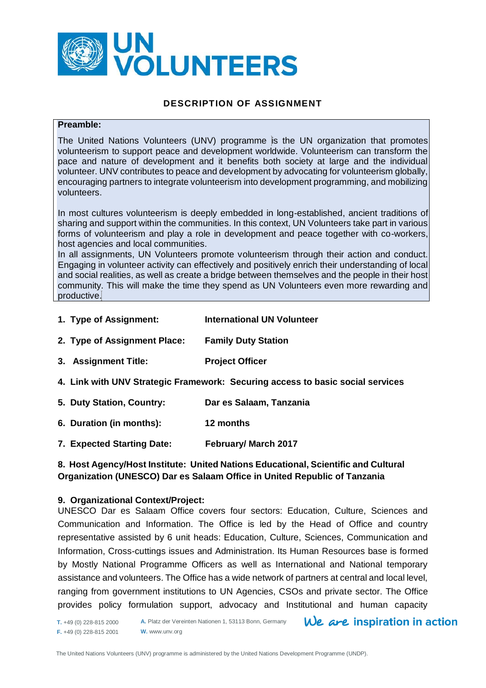

#### **DESCRIPTION OF ASSIGNMENT**

#### **Preamble:**

The United Nations Volunteers (UNV) programme is the UN organization that promotes volunteerism to support peace and development worldwide. Volunteerism can transform the pace and nature of development and it benefits both society at large and the individual volunteer. UNV contributes to peace and development by advocating for volunteerism globally, encouraging partners to integrate volunteerism into development programming, and mobilizing volunteers.

In most cultures volunteerism is deeply embedded in long-established, ancient traditions of sharing and support within the communities. In this context, UN Volunteers take part in various forms of volunteerism and play a role in development and peace together with co-workers, host agencies and local communities.

In all assignments, UN Volunteers promote volunteerism through their action and conduct. Engaging in volunteer activity can effectively and positively enrich their understanding of local and social realities, as well as create a bridge between themselves and the people in their host community. This will make the time they spend as UN Volunteers even more rewarding and productive.

- **1. Type of Assignment: International UN Volunteer**
- **2. Type of Assignment Place: Family Duty Station**
- **3. Assignment Title: Project Officer**
- **4. Link with UNV Strategic Framework: Securing access to basic social services**
- **5. Duty Station, Country: Dar es Salaam, Tanzania**
- **6. Duration (in months): 12 months**
- **7. Expected Starting Date: February/ March 2017**

## **8. Host Agency/Host Institute: United Nations Educational, Scientific and Cultural Organization (UNESCO) Dar es Salaam Office in United Republic of Tanzania**

#### **9. Organizational Context/Project:**

UNESCO Dar es Salaam Office covers four sectors: Education, Culture, Sciences and Communication and Information. The Office is led by the Head of Office and country representative assisted by 6 unit heads: Education, Culture, Sciences, Communication and Information, Cross-cuttings issues and Administration. Its Human Resources base is formed by Mostly National Programme Officers as well as International and National temporary assistance and volunteers. The Office has a wide network of partners at central and local level, ranging from government institutions to UN Agencies, CSOs and private sector. The Office provides policy formulation support, advocacy and Institutional and human capacity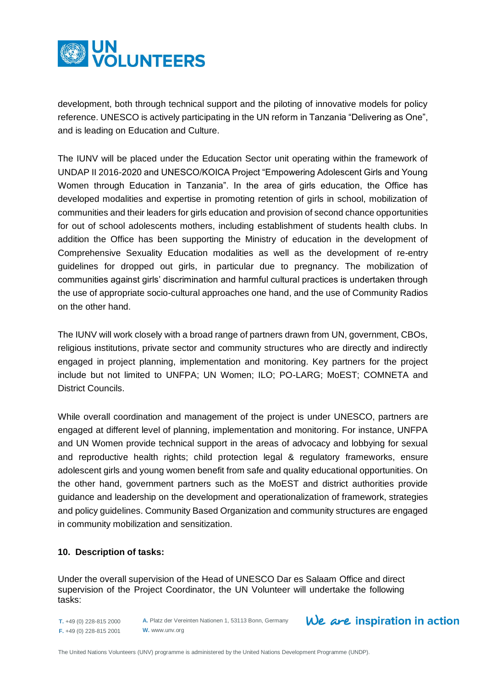

development, both through technical support and the piloting of innovative models for policy reference. UNESCO is actively participating in the UN reform in Tanzania "Delivering as One", and is leading on Education and Culture.

The IUNV will be placed under the Education Sector unit operating within the framework of UNDAP II 2016-2020 and UNESCO/KOICA Project "Empowering Adolescent Girls and Young Women through Education in Tanzania". In the area of girls education, the Office has developed modalities and expertise in promoting retention of girls in school, mobilization of communities and their leaders for girls education and provision of second chance opportunities for out of school adolescents mothers, including establishment of students health clubs. In addition the Office has been supporting the Ministry of education in the development of Comprehensive Sexuality Education modalities as well as the development of re-entry guidelines for dropped out girls, in particular due to pregnancy. The mobilization of communities against girls' discrimination and harmful cultural practices is undertaken through the use of appropriate socio-cultural approaches one hand, and the use of Community Radios on the other hand.

The IUNV will work closely with a broad range of partners drawn from UN, government, CBOs, religious institutions, private sector and community structures who are directly and indirectly engaged in project planning, implementation and monitoring. Key partners for the project include but not limited to UNFPA; UN Women; ILO; PO-LARG; MoEST; COMNETA and District Councils.

While overall coordination and management of the project is under UNESCO, partners are engaged at different level of planning, implementation and monitoring. For instance, UNFPA and UN Women provide technical support in the areas of advocacy and lobbying for sexual and reproductive health rights; child protection legal & regulatory frameworks, ensure adolescent girls and young women benefit from safe and quality educational opportunities. On the other hand, government partners such as the MoEST and district authorities provide guidance and leadership on the development and operationalization of framework, strategies and policy guidelines. Community Based Organization and community structures are engaged in community mobilization and sensitization.

#### **10. Description of tasks:**

Under the overall supervision of the Head of UNESCO Dar es Salaam Office and direct supervision of the Project Coordinator, the UN Volunteer will undertake the following tasks:

**T.** +49 (0) 228-815 2000 **F.** +49 (0) 228-815 2001

**A.** Platz der Vereinten Nationen 1, 53113 Bonn, Germany **W.** www.unv.org

 $We$  are inspiration in action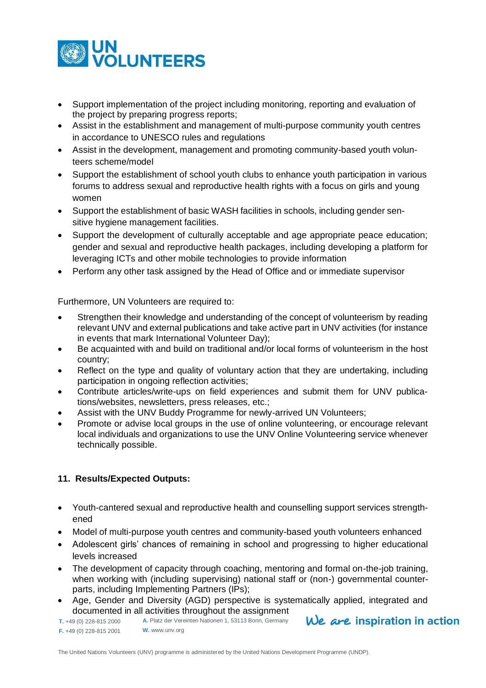

- Support implementation of the project including monitoring, reporting and evaluation of the project by preparing progress reports;
- Assist in the establishment and management of multi-purpose community youth centres in accordance to UNESCO rules and regulations
- Assist in the development, management and promoting community-based youth volunteers scheme/model
- Support the establishment of school youth clubs to enhance youth participation in various forums to address sexual and reproductive health rights with a focus on girls and young women
- Support the establishment of basic WASH facilities in schools, including gender sensitive hygiene management facilities.
- Support the development of culturally acceptable and age appropriate peace education; gender and sexual and reproductive health packages, including developing a platform for leveraging ICTs and other mobile technologies to provide information
- Perform any other task assigned by the Head of Office and or immediate supervisor

Furthermore, UN Volunteers are required to:

- Strengthen their knowledge and understanding of the concept of volunteerism by reading relevant UNV and external publications and take active part in UNV activities (for instance in events that mark International Volunteer Day);
- Be acquainted with and build on traditional and/or local forms of volunteerism in the host country;
- Reflect on the type and quality of voluntary action that they are undertaking, including participation in ongoing reflection activities;
- Contribute articles/write-ups on field experiences and submit them for UNV publications/websites, newsletters, press releases, etc.;
- Assist with the UNV Buddy Programme for newly-arrived UN Volunteers;
- Promote or advise local groups in the use of online volunteering, or encourage relevant local individuals and organizations to use the UNV Online Volunteering service whenever technically possible.

## **11. Results/Expected Outputs:**

- Youth-cantered sexual and reproductive health and counselling support services strengthened
- Model of multi-purpose youth centres and community-based youth volunteers enhanced
- Adolescent girls' chances of remaining in school and progressing to higher educational levels increased
- The development of capacity through coaching, mentoring and formal on-the-job training, when working with (including supervising) national staff or (non-) governmental counterparts, including Implementing Partners (IPs);
- Age, Gender and Diversity (AGD) perspective is systematically applied, integrated and documented in all activities throughout the assignment

**T.** +49 (0) 228-815 2000 **F.** +49 (0) 228-815 2001 **W.** www.unv.org

**A.** Platz der Vereinten Nationen 1, 53113 Bonn, Germany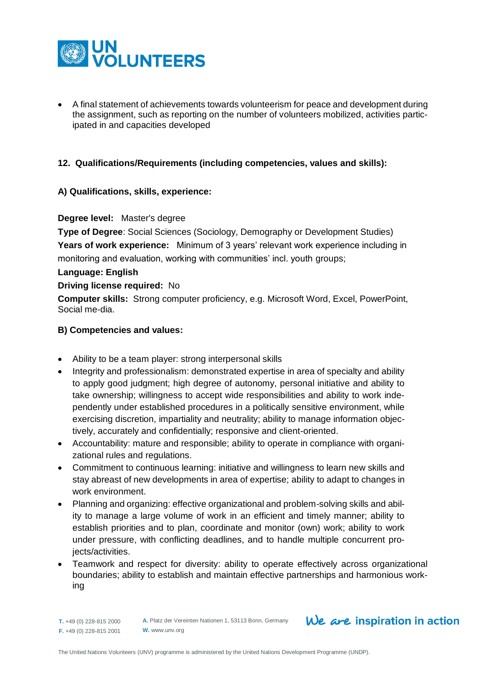

 A final statement of achievements towards volunteerism for peace and development during the assignment, such as reporting on the number of volunteers mobilized, activities participated in and capacities developed

#### **12. Qualifications/Requirements (including competencies, values and skills):**

#### **A) Qualifications, skills, experience:**

#### **Degree level:** Master's degree

**Type of Degree**: Social Sciences (Sociology, Demography or Development Studies) **Years of work experience:** Minimum of 3 years' relevant work experience including in monitoring and evaluation, working with communities' incl. youth groups;

#### **Language: English**

#### **Driving license required:** No

**Computer skills:** Strong computer proficiency, e.g. Microsoft Word, Excel, PowerPoint, Social me-dia.

#### **B) Competencies and values:**

- Ability to be a team player: strong interpersonal skills
- Integrity and professionalism: demonstrated expertise in area of specialty and ability to apply good judgment; high degree of autonomy, personal initiative and ability to take ownership; willingness to accept wide responsibilities and ability to work independently under established procedures in a politically sensitive environment, while exercising discretion, impartiality and neutrality; ability to manage information objectively, accurately and confidentially; responsive and client-oriented.
- Accountability: mature and responsible; ability to operate in compliance with organizational rules and regulations.
- Commitment to continuous learning: initiative and willingness to learn new skills and stay abreast of new developments in area of expertise; ability to adapt to changes in work environment.
- Planning and organizing: effective organizational and problem-solving skills and ability to manage a large volume of work in an efficient and timely manner; ability to establish priorities and to plan, coordinate and monitor (own) work; ability to work under pressure, with conflicting deadlines, and to handle multiple concurrent proiects/activities.
- Teamwork and respect for diversity: ability to operate effectively across organizational boundaries; ability to establish and maintain effective partnerships and harmonious working

**A.** Platz der Vereinten Nationen 1, 53113 Bonn, Germany **W.** www.unv.org

## $We$  are inspiration in action

**T.** +49 (0) 228-815 2000 **F.** +49 (0) 228-815 2001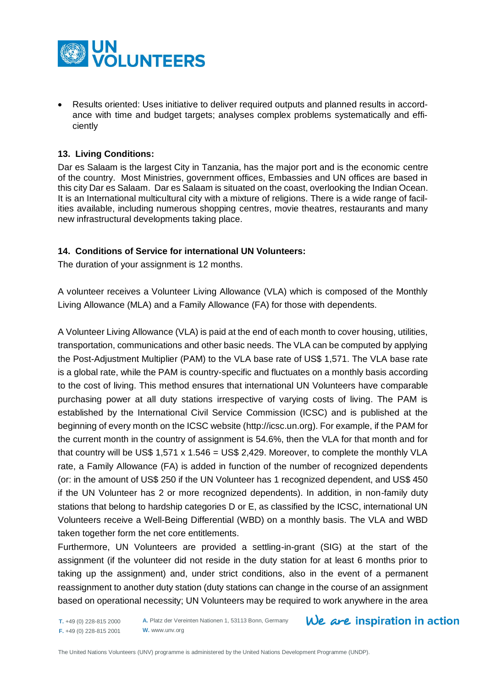

 Results oriented: Uses initiative to deliver required outputs and planned results in accordance with time and budget targets; analyses complex problems systematically and efficiently

#### **13. Living Conditions:**

Dar es Salaam is the largest City in Tanzania, has the major port and is the economic centre of the country. Most Ministries, government offices, Embassies and UN offices are based in this city Dar es Salaam. Dar es Salaam is situated on the coast, overlooking the Indian Ocean. It is an International multicultural city with a mixture of religions. There is a wide range of facilities available, including numerous shopping centres, movie theatres, restaurants and many new infrastructural developments taking place.

#### **14. Conditions of Service for international UN Volunteers:**

The duration of your assignment is 12 months.

A volunteer receives a Volunteer Living Allowance (VLA) which is composed of the Monthly Living Allowance (MLA) and a Family Allowance (FA) for those with dependents.

A Volunteer Living Allowance (VLA) is paid at the end of each month to cover housing, utilities, transportation, communications and other basic needs. The VLA can be computed by applying the Post-Adjustment Multiplier (PAM) to the VLA base rate of US\$ 1,571. The VLA base rate is a global rate, while the PAM is country-specific and fluctuates on a monthly basis according to the cost of living. This method ensures that international UN Volunteers have comparable purchasing power at all duty stations irrespective of varying costs of living. The PAM is established by the International Civil Service Commission (ICSC) and is published at the beginning of every month on the ICSC website [\(http://icsc.un.org\)](http://icsc.un.org/). For example, if the PAM for the current month in the country of assignment is 54.6%, then the VLA for that month and for that country will be US\$ 1,571 x 1.546 = US\$ 2,429. Moreover, to complete the monthly VLA rate, a Family Allowance (FA) is added in function of the number of recognized dependents (or: in the amount of US\$ 250 if the UN Volunteer has 1 recognized dependent, and US\$ 450 if the UN Volunteer has 2 or more recognized dependents). In addition, in non-family duty stations that belong to hardship categories D or E, as classified by the ICSC, international UN Volunteers receive a Well-Being Differential (WBD) on a monthly basis. The VLA and WBD taken together form the net core entitlements.

Furthermore, UN Volunteers are provided a settling-in-grant (SIG) at the start of the assignment (if the volunteer did not reside in the duty station for at least 6 months prior to taking up the assignment) and, under strict conditions, also in the event of a permanent reassignment to another duty station (duty stations can change in the course of an assignment based on operational necessity; UN Volunteers may be required to work anywhere in the area

**T.** +49 (0) 228-815 2000 **F.** +49 (0) 228-815 2001 **A.** Platz der Vereinten Nationen 1, 53113 Bonn, Germany **W.** www.unv.org

 $We$  are inspiration in action